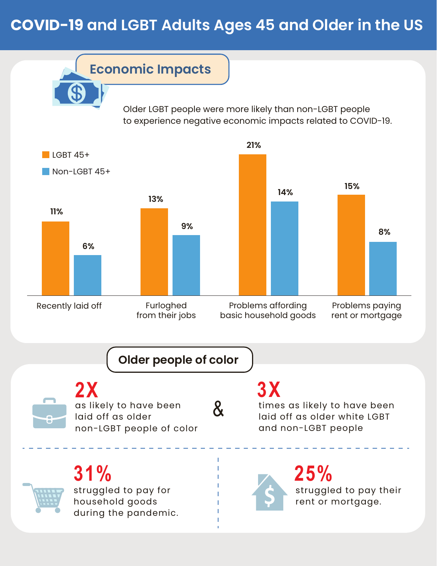## **COVID-19 and LGBT Adults Ages 45 and Older in the US**

**Economic Impacts**

Older LGBT people were more likely than non-LGBT people to experience negative economic impacts related to COVID-19.